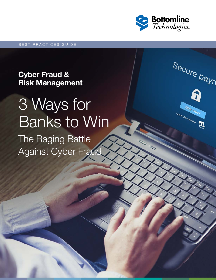

Secure payn

S

Day now

reatt Card allowed

### Cyber Fraud & Risk Management

# The Raging Battle Against Cyber Fraud 3 Ways for Banks to Win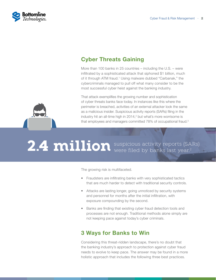

### Cyber Threats Gaining

More than 100 banks in 25 countries – including the U.S. – were infiltrated by a sophisticated attack that siphoned \$1 billion, much of it through ATM fraud.<sup>1</sup> Using malware dubbed "Carbanak," the cybercriminals managed to pull off what many consider to be the most successful cyber heist against the banking industry.

That attack exemplifies the growing number and sophistication of cyber threats banks face today. In instances like this where the perimeter is breached, activities of an external attacker look the same as a malicious insider. Suspicious activity reports (SARs) filing in the industry hit an all-time high in 2014,<sup>2</sup> but what's more worrisome is that employees and managers committed 78% of occupational fraud.<sup>3</sup>

# 2.4 million suspicious activity reports (SARs)

The growing risk is multifaceted.

- Fraudsters are infiltrating banks with very sophisticated tactics that are much harder to detect with traditional security controls.
- Attacks are lasting longer, going unnoticed by security systems and personnel for months after the initial infiltration, with exposure compounding by the second.
- Banks are finding that existing cyber fraud detection tools and processes are not enough. Traditional methods alone simply are not keeping pace against today's cyber criminals.

#### 3 Ways for Banks to Win

Considering this threat-ridden landscape, there's no doubt that the banking industry's approach to protection against cyber fraud needs to evolve to keep pace. The answer may be found in a more holistic approach that includes the following three best practices.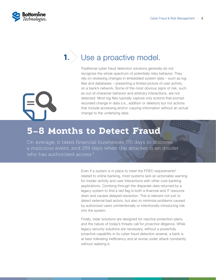

**1.**

### Use a proactive model.

Traditional cyber fraud detection solutions generally do not recognize the whole spectrum of potentially risky behavior. They rely on reviewing changes in embedded system data – such as log files and databases – presenting a limited picture of user activity on a bank's network. Some of the most obvious signs of risk, such as out-of-character behavior and arbitrary interactions, are not detected. Most log files typically capture only actions that prompt recorded change in data (i.e., addition or deletion) but not actions that include accessing and/or copying information without an actual change to the underlying data.

## **5–8 Months to Detect Fraud**

On average, it takes financial businesses 170 days to discover a malicious event, and 259 days when the attacker is an insider who has authorized access.<sup>4</sup>

> Even if a system is in place to meet the FFIEC requirements<sup>5</sup> related to online banking, most systems lack an actionable warning for insider activity and user interactions with other core banking applications. Combing through the disparate data returned by a legacy system to find a red flag is both a financial and IT resource drain and causes delayed resolution. This is relevant not just to detect external bad actors, but also to minimize problems caused by authorized users unintentionally or intentionally introducing risk into the system.

> Finally, older solutions are designed for *reactive* protection plans, and the nature of today's threats call for *proactive* diligence. While legacy security solutions are necessary, without a powerfully proactive capability in its cyber fraud detection arsenal, a bank is at best tolerating inefficiency and at worse under attack constantly without realizing it.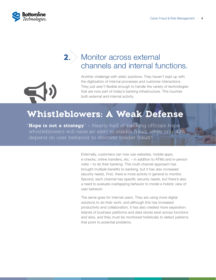

**2.**

## Monitor across external channels and internal functions.

Another challenge with static solutions: They haven't kept up with the digitization of internal processes and customer interactions. They just aren't flexible enough to handle the variety of technologies that are now part of today's banking infrastructure. This touches both external and internal activity.

## **Whistleblowers: A Weak Defense**

"**Hope is not a strategy**." – Nearly half of banking officials hope whistleblowers will raise an alert to insider fraud, while only 42% depend on user behavior to discover insider fraud.<sup>6</sup>

> Externally, customers can now use websites, mobile apps, e-checks, online transfers, etc. – in addition to ATMs and in-person visits – to do their banking. This multi-channel approach has brought multiple benefits to banking, but it has also increased security needs. First, there is more activity in general to monitor. Second, each channel has specific security needs, but there's also a need to evaluate overlapping behavior to model a holistic view of user behavior.

> The same goes for internal users. They are using more digital solutions to do their work, and although this has increased productivity and collaboration, it has also created more separation. Islands of business platforms and data stores exist across functions and silos, and they must be monitored holistically to detect patterns that point to potential problems.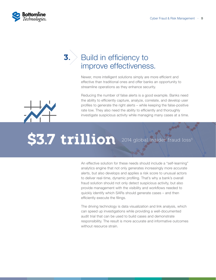

**3.**

## Build in efficiency to improve effectiveness.

Newer, more intelligent solutions simply are more efficient and effective than traditional ones and offer banks an opportunity to streamline operations as they enhance security.

Reducing the number of false alerts is a good example. Banks need the ability to efficiently capture, analyze, correlate, and develop user profiles to generate the right alerts – while keeping the false-positive rate low. They also need the ability to efficiently and thoroughly investigate suspicious activity while managing many cases at a time.

# **\$3.7 trillion** 2014 global insider fraud loss<sup>3</sup>

An effective solution for these needs should include a "self-learning" analytics engine that not only generates increasingly more accurate alerts, but also develops and applies a risk score to unusual actors to deliver real-time, dynamic profiling. That's why a bank's overall fraud solution should not only detect suspicious activity, but also provide management with the visibility and workflows needed to quickly identify which SARs should generate cases – and then efficiently execute the filings.

The driving technology is data visualization and link analysis, which can speed up investigations while providing a well-documented audit trial that can be used to build cases and demonstrate responsibility. The result is more accurate and informative outcomes without resource strain.

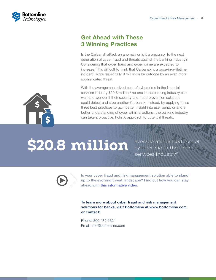

### Get Ahead with These 3 Winning Practices

Is the Carbanak attack an anomaly or is it a precursor to the next generation of cyber fraud and threats against the banking industry? Considering that cyber fraud and cyber crime are expected to increase,7 it is difficult to think that Carbanak is a once-in-a-lifetime incident. More realistically, it will soon be outdone by an even more sophisticated threat.

With the average annualized cost of cybercrime in the financial services industry  $$20.8$  million, $8$  no one in the banking industry can wait and wonder if their security and fraud prevention solutions could detect and stop another Carbanak. Instead, by applying these three best practices to gain better insight into user behavior and a better understanding of cyber criminal actions, the banking industry can take a proactive, holistic approach to potential threats.

# \$20.8 million average annualized cost of

cybercrime in the financial services industry<sup>8</sup>



[Is your cyber fraud and risk management solution able to stand](http://www1.bottomline.com/CFRM_Overview)  [up to the evolving threat landscape?](http://www1.bottomline.com/CFRM_Overview) Find out how you can stay ahead with [this informative video.](http://www1.bottomline.com/CFRM_Overview)

**To learn more about cyber fraud and risk management solutions for banks, visit Bottomline at [www.bottomline.com](http://www.bottomline.com/us/digital-banking/cyber-fraud-and-risk-management-for-banks) or contact:**

Phone: 800.472.1321 Email: [info@bottomline.com](mailto:info%40bottomline.com?subject=)